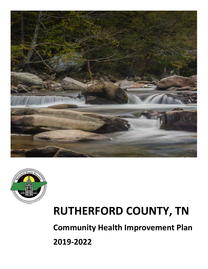



# **RUTHERFORD COUNTY, TN**

**Community Health Improvement Plan**

**2019-2022**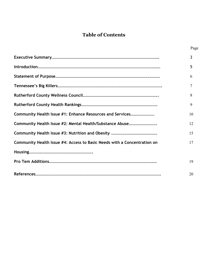## **Table of Contents**

|                                                                          | Page |
|--------------------------------------------------------------------------|------|
|                                                                          | 3    |
|                                                                          | 5    |
|                                                                          | 6    |
|                                                                          | 7    |
|                                                                          | 8    |
|                                                                          | 9    |
| Community Health Issue #1: Enhance Resources and Services                | 10   |
|                                                                          | 12   |
|                                                                          | 15   |
| Community Health Issue #4: Access to Basic Needs with a Concentration on | 17   |
|                                                                          |      |
|                                                                          | 19   |
|                                                                          | 20   |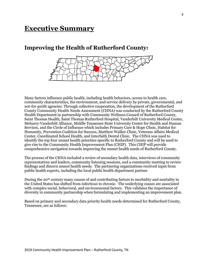# **Executive Summary**

### **Improving the Health of Rutherford County:**



Many factors influence public health, including health behaviors, access to health care, community characteristics, the environment, and service delivery by private, governmental, and not-for-profit agencies. Through collective cooperation, the development of the Rutherford County Community Health Needs Assessment (CHNA) was conducted by the Rutherford County Health Department in partnership with Community Wellness Council of Rutherford County, Saint Thomas Health, Saint Thomas Rutherford Hospital, Vanderbilt University Medical Center, Meharry-Vanderbilt Alliance, Middle Tennessee State University Center for Health and Human Services, and the Circle of Influence which includes Primary Care & Hope Clinic, Habitat for Humanity, Prevention Coalition for Success, Matthew Walker Clinic, Veterans Affairs Medical Center, Coordinated School Health, and Interfaith Dental Clinic. The CHNA was used to identify the top four unmet health priorities specific to Rutherford County and will be used to give rise to the Community Health Improvement Plan (CHIP). This CHIP will provide comprehensive navigation towards improving the unmet health needs of Rutherford County.

The process of the CHNA included a review of secondary health data, interviews of community representatives and leaders, community listening sessions, and a community meeting to review findings and discern unmet health needs. The partnering organizations received input from public health experts, including the local public health department partner.

During the 20th century many causes of and contributing factors to morbidity and mortality in the United States has shifted from infectious to chronic. The underlying causes are associated with complex social, behavioral, and environmental factors. This validates the importance of diversity in community partnership when formulating and implementing an improvement plan.

Based on primary and secondary data priority health needs determined for Rutherford County, Tennessee, are as follows: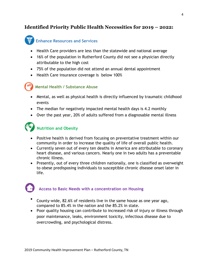### **Identified Priority Public Health Necessities for 2019 – 2022:**



### **Enhance Resources and Services**

- Health Care providers are less than the statewide and national average
- 16% of the population in Rutherford County did not see a physician directly attributable to the high cost
- 75% of the population did not attend an annual dental appointment
- Health Care insurance coverage is below 100%



#### **Mental Health / Substance Abuse**

- Mental, as well as physical health is directly influenced by traumatic childhood events
- The median for negatively impacted mental health days is 4.2 monthly
- Over the past year, 20% of adults suffered from a diagnosable mental illness



### **Nutrition and Obesity**

- Positive health is derived from focusing on preventative treatment within our community in order to increase the quality of life of overall public health.
- Currently seven out of every ten deaths in America are attributable to coronary heart disease, and various cancers. Nearly one in two adults has a preventable chronic illness.
- Presently, out of every three children nationally, one is classified as overweight to obese predisposing individuals to susceptible chronic disease onset later in life.

### **Access to Basic Needs with a concentration on Housing**

- County-wide, 82.6% of residents live in the same house as one year ago, compared to 85.4% in the nation and the 85.2% in state.
- Poor quality housing can contribute to increased risk of injury or illness through poor maintenance, leaks, environment toxicity, infectious disease due to overcrowding, and psychological distress.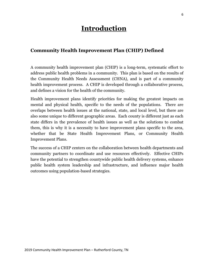# **Introduction**

### **Community Health Improvement Plan (CHIP) Defined**

A community health improvement plan (CHIP) is a long-term, systematic effort to address public health problems in a community. This plan is based on the results of the Community Health Needs Assessment (CHNA), and is part of a community health improvement process. A CHIP is developed through a collaborative process, and defines a vision for the health of the community.

Health improvement plans identify priorities for making the greatest impacts on mental and physical health, specific to the needs of the populations. There are overlaps between health issues at the national, state, and local level, but there are also some unique to different geographic areas. Each county is different just as each state differs in the prevalence of health issues as well as the solutions to combat them, this is why it is a necessity to have improvement plans specific to the area, whether that be State Health Improvement Plans, or Community Health Improvement Plans.

The success of a CHIP centers on the collaboration between health departments and community partners to coordinate and use resources effectively. Effective CHIPs have the potential to strengthen countywide public health delivery systems, enhance public health system leadership and infrastructure, and influence major health outcomes using population-based strategies.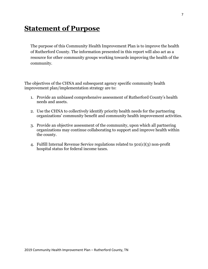# **Statement of Purpose**

The purpose of this Community Health Improvement Plan is to improve the health of Rutherford County. The information presented in this report will also act as a resource for other community groups working towards improving the health of the community.

The objectives of the CHNA and subsequent agency specific community health improvement plan/implementation strategy are to:

- 1. Provide an unbiased comprehensive assessment of Rutherford County's health needs and assets.
- 2. Use the CHNA to collectively identify priority health needs for the partnering organizations' community benefit and community health improvement activities.
- 3. Provide an objective assessment of the community, upon which all partnering organizations may continue collaborating to support and improve health within the county.
- 4. Fulfill Internal Revenue Service regulations related to 501(c)(3) non-profit hospital status for federal income taxes.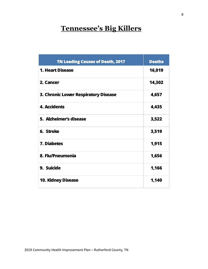# **Tennessee's Big Killers**

| <b>TN Leading Causes of Death, 2017</b> | <b>Deaths</b> |
|-----------------------------------------|---------------|
| <b>1. Heart Disease</b>                 | 16,019        |
| 2. Cancer                               | 14,302        |
| 3. Chronic Lower Respiratory Disease    | 4,657         |
| <b>4. Accidents</b>                     | 4,435         |
| 5. Alzheimer's disease                  | 3,522         |
| 6. Stroke                               | 3,519         |
| 7. Diabetes                             | 1,915         |
| 8. Flu/Pneumonia                        | 1,656         |
| 9. Suicide                              | 1,166         |
| <b>10. Kidney Disease</b>               | 1,140         |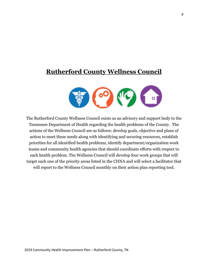# **Rutherford County Wellness Council**



The Rutherford County Wellness Council exists as an advisory and support body to the Tennessee Department of Health regarding the health problems of the County. The actions of the Wellness Council are as follows: develop goals, objective and plans of action to meet these needs along with identifying and securing resources, establish priorities for all identified health problems, identify department/organization work teams and community health agencies that should coordinate efforts with respect to each health problem. The Wellness Council will develop four work groups that will target each one of the priority areas listed in the CHNA and will select a facilitator that will report to the Wellness Council monthly on their action plan reporting tool.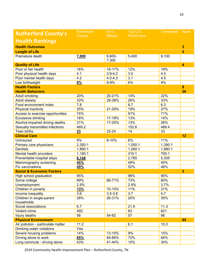| <b>Rutherford County's</b>           | <b>Rutherford</b><br>County | Error<br>Margin | Top U.S.<br><b>Performers</b> | <b>Tennessee</b> | Rank                    |
|--------------------------------------|-----------------------------|-----------------|-------------------------------|------------------|-------------------------|
| <b>Health Rankings</b>               |                             |                 |                               |                  |                         |
| <b>Health Outcomes</b>               |                             |                 |                               |                  | $\overline{\mathbf{3}}$ |
| <b>Length of Life</b>                |                             |                 |                               |                  | $\overline{2}$          |
| Premature death                      | 7,000                       | 6,600-          | 5,400                         | 9,100            |                         |
|                                      |                             | 7,300           |                               |                  |                         |
| <b>Quality of Life</b>               |                             |                 |                               |                  | $\overline{\mathbf{4}}$ |
| Poor or fair health                  | 16%                         | 16-17%          | 12%                           | 19%              |                         |
| Poor physical health days            | 4.1                         | $3.9 - 4.2$     | 3.0                           | 4.4              |                         |
| Poor mental health days              | 4.2                         | $4.0 - 4.3$     | 3.1                           | 4.5              |                         |
| Low birthweight                      | 8%                          | 8-9%            | 6%                            | 9%               |                         |
| <b>Health Factors</b>                |                             |                 |                               |                  | 8                       |
| <b>Health Behaviors</b>              |                             |                 |                               |                  | 26                      |
| Adult smoking                        | 20%                         | 20-21%          | 14%                           | 22%              |                         |
| Adult obesity                        | 33%                         | 29-38%          | 26%                           | 33%              |                         |
| Food environment index               | 7.8                         |                 | 8.7                           | 6.3              |                         |
| Physical inactivity                  | 25%                         | 21-29%          | 19%                           | 27%              |                         |
| Access to exercise opportunities     | 74%                         |                 | 91%                           | 71%              |                         |
| <b>Excessive drinking</b>            | 18%                         | 17-18%          | 13%                           | 14%              |                         |
| Alcohol-impaired driving deaths      | 21%                         | 17-25%          | 13%                           | 26%              |                         |
| Sexually transmitted infections      | 469.2                       |                 | 152.8                         | 489.4            |                         |
| Teen births                          | 23                          | 22-24           | 14                            | 33               |                         |
| <b>Clinical Care</b>                 |                             |                 |                               |                  | 12                      |
| Uninsured                            | 9%                          | 8-10%           | 6%                            | 11%              |                         |
| Primary care physicians              | 2,350:1                     |                 | 1,050:1                       | 1,390:1          |                         |
| <b>Dentists</b>                      | 1,890:1                     |                 | 1,260:1                       | 1,880:1          |                         |
| Mental health providers              | 1,180:1                     |                 | 310:1                         | 700:1            |                         |
| Preventable hospital stays           | 6,148                       |                 | 2,765                         | 5,305            |                         |
| Mammography screening                | 45%                         |                 | 49%                           | 40%              |                         |
| Flu vaccinations                     | 49%                         |                 | 52%                           | 48%              |                         |
| <b>Social &amp; Economic Factors</b> |                             |                 |                               |                  | 3                       |
| High school graduation               | 95%                         |                 | 96%                           | 90%              |                         |
| Some college                         | 69%                         | 66-71%          | 73%                           | 60%              |                         |
| Unemployment                         | 2.9%                        |                 | 2.9%                          | 3.7%             |                         |
| Children in poverty                  | 13%                         | 10-15%          | 11%                           | 21%              |                         |
| Income inequality                    | 3.6                         | $3.5 - 3.8$     | 3.7                           | 4.7              |                         |
| Children in single-parent            | 28%                         | 26-31%          | 20%                           | 35%              |                         |
| households                           |                             |                 |                               |                  |                         |
| Social associations                  | 6.7                         |                 | 21.9                          | 11.3             |                         |
| Violent crime                        | 492                         |                 | 63                            | 621              |                         |
| Injury deaths                        | 58                          | 54-62           | 57                            | 86               |                         |
| <b>Physical Environment</b>          |                             |                 |                               |                  | 95                      |
| Air pollution - particulate matter   | 11.2                        |                 | 6.1                           | 10.0             |                         |
| Drinking water violations            | Yes                         |                 |                               |                  |                         |
| Severe housing problems              | 14%                         | 13-15%          | 9%                            | 15%              |                         |
| Driving alone to work                | 85%                         | 84-86%          | 72%                           | 84%              |                         |
| Long commute - driving alone         | 43%                         | 41-44%          | 15%                           | 34%              |                         |

2019 Community Health Improvement Plan – Rutherford County, TN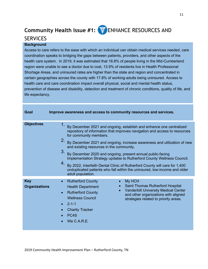# **Community Health Issue #1: FE** ENHANCE RESOURCES AND

### **SERVICES**

#### **Background**

Access to care refers to the ease with which an individual can obtain medical services needed, care coordination speaks to bridging the gaps between patients, providers, and other aspects of the health care system. In 2019, it was estimated that 16.8% of people living in the Mid-Cumberland region were unable to see a doctor due to cost, 13.9% of residents live in Health Professional Shortage Areas, and uninsured rates are higher than the state and region and concentrated in certain geographies across the county with 17.8% of working-adults being uninsured. Access to health care and care coordination impact overall physical, social and mental health status, prevention of disease and disability, detection and treatment of chronic conditions, quality of life, and life expectancy.

| Goal                               | Improve awareness and access to community resources and services.                                                                                                                                                                                                                                                                                                                                                                                                                                                                                                                                                                                  |
|------------------------------------|----------------------------------------------------------------------------------------------------------------------------------------------------------------------------------------------------------------------------------------------------------------------------------------------------------------------------------------------------------------------------------------------------------------------------------------------------------------------------------------------------------------------------------------------------------------------------------------------------------------------------------------------------|
| <b>Objectives</b>                  | 1.<br>By December 2021 and ongoing, establish and enhance one centralized<br>repository of information that improves navigation and access to resources<br>for community members.<br>2.<br>By December 2021 and ongoing, increase awareness and utilization of new<br>and existing resources in the community.<br>3.<br>By December 2020 and ongoing, present annual public-facing<br>Implementation Strategy updates to Rutherford County Wellness Council.<br>4.<br>By 2022, Interfaith Dental Clinic of Rutherford County will care for 1,400<br>unduplicated patients who fall within the uninsured, low-income and older<br>adult population. |
| <b>Key</b><br><b>Organizations</b> | <b>Rutherford County</b><br>My HCH<br><b>Saint Thomas Rutherford Hospital</b><br><b>Health Department</b><br><b>Vanderbilt University Medical Center</b><br>$\bullet$<br><b>Rutherford County</b><br>and other organizations with aligned<br><b>Wellness Council</b><br>strategies related to priority areas.<br>$2 - 1 - 1$<br><b>Charity Tracker</b><br>PC <sub>4</sub> S<br>We C.A.R.E.                                                                                                                                                                                                                                                         |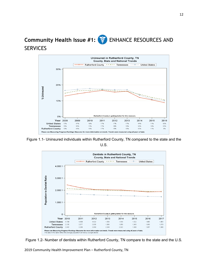# **Community Health Issue #1:**  $\frac{1}{2}$  ENHANCE RESOURCES AND **SERVICES**



Figure 1.1- Uninsured individuals within Rutherford County, TN compared to the state and the U.S.



Figure 1.2- Number of dentists within Rutherford County, TN compare to the state and the U.S.

2019 Community Health Improvement Plan – Rutherford County, TN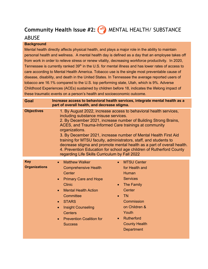# **Community Health Issue #2:**  $\bullet$  MENTAL HEALTH/ SUBSTANCE

### ABUSE

#### **Background**

Mental health directly affects physical health, and plays a major role in the ability to maintain personal health and wellness. A mental health day is defined as a day that an employee takes off from work in order to relieve stress or renew vitality, decreasing workforce productivity. In 2020, Tennessee is currently ranked 39<sup>th</sup> in the U.S. for mental illness and has lower rates of access to care according to Mental Health America. Tobacco use is the single most preventable cause of disease, disability, and death in the United States. In Tennessee the average reported users of tobacco are 16.1% compared to the U.S. top performing state, Utah, which is 9%. Adverse Childhood Experiences (ACEs) sustained by children before 18, indicates the lifelong impact of these traumatic events on a person's health and socioeconomic outcome.

| Goal                               | Increase access to behavioral health services, integrate mental health as a<br>part of overall health, and decrease stigma.                                                                                                                                                                                                                                                                                                                                                                                                                                                                        |                                                                                                                                                                                                   |  |  |
|------------------------------------|----------------------------------------------------------------------------------------------------------------------------------------------------------------------------------------------------------------------------------------------------------------------------------------------------------------------------------------------------------------------------------------------------------------------------------------------------------------------------------------------------------------------------------------------------------------------------------------------------|---------------------------------------------------------------------------------------------------------------------------------------------------------------------------------------------------|--|--|
| <b>Objectives</b>                  | 1. By August 2022, increase access to behavioral health services,<br>including substance misuse services.<br>2. By December 2021, increase number of Building Strong Brains,<br>ACES, and Trauma-Informed Care trainings at community<br>organizations.<br>3. By December 2021, increase number of Mental Health First Aid<br>training for MTSU faculty, administrators, staff, and students to<br>decrease stigma and promote mental health as a part of overall health.<br>4. Prevention Education for school age children of Rutherford County<br>regarding Life Skills Curriculum by Fall 2022 |                                                                                                                                                                                                   |  |  |
| <b>Key</b><br><b>Organizations</b> | <b>Matthew Walker</b><br>$\bullet$<br><b>Comprehensive Health</b><br>Center<br><b>Primary Care and Hope</b><br><b>Clinic</b><br><b>Mental Health Action</b><br>Committee<br><b>STARS</b><br>$\bullet$<br><b>Insight Counseling</b><br>$\bullet$<br><b>Centers</b><br><b>Prevention Coalition for</b><br><b>Success</b>                                                                                                                                                                                                                                                                             | <b>MTSU Center</b><br>for Health and<br>Human<br><b>Services</b><br>The Family<br>Center<br><b>TN</b><br>Commission<br>on Children &<br>Youth<br>Rutherford<br><b>County Health</b><br>Department |  |  |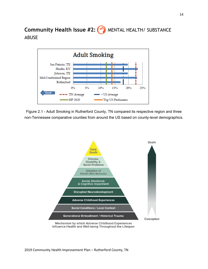**Community Health Issue #2:** (<sup>oo</sup>) MENTAL HEALTH/ SUBSTANCE ABUSE



Figure 2.1 - Adult Smoking in Rutherford County, TN compared its respective region and three non-Tennessee comparative counties from around the US based on county-level demographics.

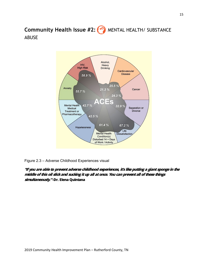**Community Health Issue #2:** (<sup>oo</sup>) MENTAL HEALTH/ SUBSTANCE ABUSE



Figure 2.3 – Adverse Childhood Experiences visual

**"If you are able to prevent adverse childhood experiences, it's like putting a giant sponge in the middle of this oil slick and sucking it up all at once. You can prevent all of these things simultaneously."-Dr. Elena Quintana**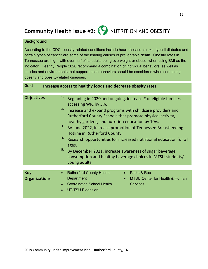# **Community Health Issue #3: (IC) NUTRITION AND OBESITY**

#### **Background**

According to the CDC, obesity-related conditions include heart disease, stroke, type II diabetes and certain types of cancer are some of the leading causes of preventable death. Obesity rates in Tennessee are high, with over half of its adults being overweight or obese, when using BMI as the indicator. Healthy People 2020 recommend a combination of individual behaviors, as well as policies and environments that support these behaviors should be considered when combating obesity and obesity-related diseases.

**Goal Increase access to healthy foods and decrease obesity rates.**

| <b>Objectives</b>                  | 1.<br>Beginning in 2020 and ongoing, increase # of eligible families<br>accessing WIC by 5%.<br>2.<br>Increase and expand programs with childcare providers and<br>Rutherford County Schools that promote physical activity,<br>healthy gardens, and nutrition education by 10%.<br>3.<br>By June 2022, increase promotion of Tennessee Breastfeeding<br>Hotline in Rutherford County.<br>4.<br>Research opportunities for increased nutritional education for all<br>ages.<br>5.<br>By December 2021, increase awareness of sugar beverage<br>consumption and healthy beverage choices in MTSU students/<br>young adults. |
|------------------------------------|----------------------------------------------------------------------------------------------------------------------------------------------------------------------------------------------------------------------------------------------------------------------------------------------------------------------------------------------------------------------------------------------------------------------------------------------------------------------------------------------------------------------------------------------------------------------------------------------------------------------------|
|                                    |                                                                                                                                                                                                                                                                                                                                                                                                                                                                                                                                                                                                                            |
| <b>Key</b><br><b>Organizations</b> | Parks & Rec<br><b>Rutherford County Health</b><br>$\bullet$<br>$\bullet$<br>Department<br><b>MTSU Center for Health &amp; Human</b><br>$\bullet$<br><b>Coordinated School Health</b><br><b>Services</b><br>$\bullet$<br><b>UT-TSU Extension</b><br>$\bullet$                                                                                                                                                                                                                                                                                                                                                               |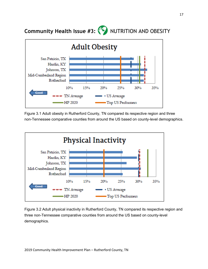**Community Health Issue #3: (IC) NUTRITION AND OBESITY** 



Figure 3.1 Adult obesity in Rutherford County, TN compared its respective region and three non-Tennessee comparative counties from around the US based on county-level demographics.



Figure 3.2 Adult physical inactivity in Rutherford County, TN compared its respective region and three non-Tennessee comparative counties from around the US based on county-level demographics.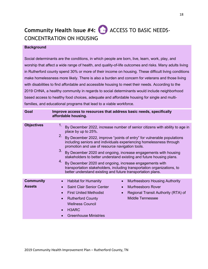# **Community Health Issue #4:** ACCESS TO BASIC NEEDS-CONCENTRATION ON HOUSING

#### **Background**

Social determinants are the conditions, in which people are born, live, learn, work, play, and worship that affect a wide range of health, and quality-of-life outcomes and risks. Many adults living in Rutherford county spend 30% or more of their income on housing. These difficult living conditions make homelessness more likely. There is also a burden and concern for veterans and those living with disabilities to find affordable and accessible housing to meet their needs. According to the 2019 CHNA, a healthy community in regards to social determinants would include neighborhood based access to healthy food choices, adequate and affordable housing for single and multifamilies, and educational programs that lead to a viable workforce.

| Goal                              | Improve access to resources that address basic needs, specifically<br>affordable housing.                                                                                                                                                                                                                                                                                                                                                                                                                                                                                                                                                                                      |  |  |  |
|-----------------------------------|--------------------------------------------------------------------------------------------------------------------------------------------------------------------------------------------------------------------------------------------------------------------------------------------------------------------------------------------------------------------------------------------------------------------------------------------------------------------------------------------------------------------------------------------------------------------------------------------------------------------------------------------------------------------------------|--|--|--|
| <b>Objectives</b>                 | 1.<br>By December 2022, increase number of senior citizens with ability to age in<br>place by up to 25%.<br>2.<br>By December 2022, improve "points of entry" for vulnerable populations<br>including seniors and individuals experiencing homelessness through<br>promotion and use of resource navigation tools.<br>3.<br>By December 2020 and ongoing, increase engagements with housing<br>stakeholders to better understand existing and future housing plans.<br>4.<br>By December 2020 and ongoing, increase engagements with<br>transportation stakeholders, including transportation organizations, to<br>better understand existing and future transportation plans. |  |  |  |
| <b>Community</b><br><b>Assets</b> | <b>Habitat for Humanity</b><br><b>Murfreesboro Housing Authority</b><br>$\bullet$<br>$\bullet$<br><b>Saint Clair Senior Center</b><br>Murfreesboro Rover<br>$\bullet$<br><b>First United Methodist</b><br>Regional Transit Authority (RTA) of<br>$\bullet$<br>$\bullet$<br>Middle Tennessee<br><b>Rutherford County</b><br>$\bullet$<br><b>Wellness Council</b><br>H3ARC<br>$\bullet$                                                                                                                                                                                                                                                                                          |  |  |  |
|                                   | <b>Greenhouse Ministries</b>                                                                                                                                                                                                                                                                                                                                                                                                                                                                                                                                                                                                                                                   |  |  |  |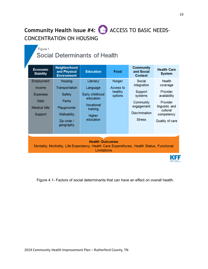# **Community Health Issue #4:** ACCESS TO BASIC NEEDS-CONCENTRATION ON HOUSING

### Figure 1

# Social Determinants of Health

| <b>Economic</b><br><b>Stability</b>                                                                                                 | Neighborhood<br>and Physical<br><b>Environment</b>                                                    | <b>Education</b>                                                                                      | Food                                      | <b>Community</b><br>and Social<br>Context                                                                        | <b>Health Care</b><br><b>System</b>                                                                                       |
|-------------------------------------------------------------------------------------------------------------------------------------|-------------------------------------------------------------------------------------------------------|-------------------------------------------------------------------------------------------------------|-------------------------------------------|------------------------------------------------------------------------------------------------------------------|---------------------------------------------------------------------------------------------------------------------------|
| Employment<br>Income<br><b>Expenses</b><br>Debt<br><b>Medical bills</b><br>Support                                                  | Housing<br>Transportation<br>Safety<br>Parks<br>Playgrounds<br>Walkability<br>Zip code /<br>geography | Literacy<br>Language<br>Early childhood<br>education<br>Vocational<br>training<br>Higher<br>education | Hunger<br>Access to<br>healthy<br>options | Social<br>integration<br>Support<br>systems<br>Community<br>engagement<br><b>Discrimination</b><br><b>Stress</b> | Health<br>coverage<br>Provider<br>availability<br>Provider<br>linguistic and<br>cultural<br>competency<br>Quality of care |
| <b>Health Outcomes</b><br>Mortality, Morbidity, Life Expectancy, Health Care Expenditures, Health Status, Functional<br>Limitations |                                                                                                       |                                                                                                       |                                           |                                                                                                                  |                                                                                                                           |

Figure 4.1- Factors of social determinants that can have an effect on overall health.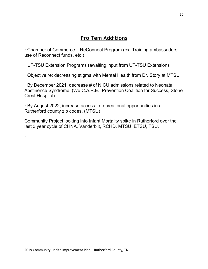· Chamber of Commerce – ReConnect Program (ex. Training ambassadors, use of Reconnect funds, etc.)

· UT-TSU Extension Programs (awaiting input from UT-TSU Extension)

· Objective re: decreasing stigma with Mental Health from Dr. Story at MTSU

· By December 2021, decrease # of NICU admissions related to Neonatal Abstinence Syndrome. (We C.A.R.E., Prevention Coalition for Success, Stone Crest Hospital)

· By August 2022, increase access to recreational opportunities in all Rutherford county zip codes. (MTSU)

Community Project looking into Infant Mortality spike in Rutherford over the last 3 year cycle of CHNA, Vanderbilt, RCHD, MTSU, ETSU, TSU.

·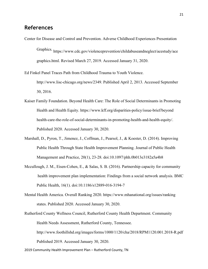### **References**

Center for Disease and Control and Prevention. Adverse Childhood Experiences Presentation Graphics. https://www.cdc.gov/violenceprevention/childabuseandneglect/acestudy/ace graphics.html. Revised March 27, 2019. Accessed January 31, 2020.

Ed Finkel Panel Traces Path from Childhood Trauma to Youth Violence. http://www.lisc-chicago.org/news/2349. Published April 2, 2013. Accessed September 30, 2016.

- Kaiser Family Foundation. Beyond Health Care: The Role of Social Determinants in Promoting Health and Health Equity. https://www.kff.org/disparities-policy/issue-brief/beyond health-care-the-role-of-social-determinants-in-promoting-health-and-health-equity/. Published 2020. Accessed January 30, 2020.
- Marshall, D., Pyron, T., Jimenez, J., Coffman, J., Pearsol, J., & Koester, D. (2014). Improving Public Health Through State Health Improvement Planning. Journal of Public Health Management and Practice, 20(1), 23-28. doi:10.1097/phh.0b013e3182a5a4b8
- Mccullough, J. M., Eisen-Cohen, E., & Salas, S. B. (2016). Partnership capacity for community health improvement plan implementation: Findings from a social network analysis. BMC Public Health, 16(1). doi:10.1186/s12889-016-3194-7
- Mental Health America. Overall Ranking 2020. https://www.mhanational.org/issues/ranking states. Published 2020. Accessed January 30, 2020.
- Rutherford County Wellness Council, Rutherford County Health Department. Community Health Needs Assessment, Rutherford County, Tennessee. http://www.foothillshd.org/images/forms/1000/1120/cha/2018/RPM1120.001.2018-R.pdf Published 2019. Accessed January 30, 2020.